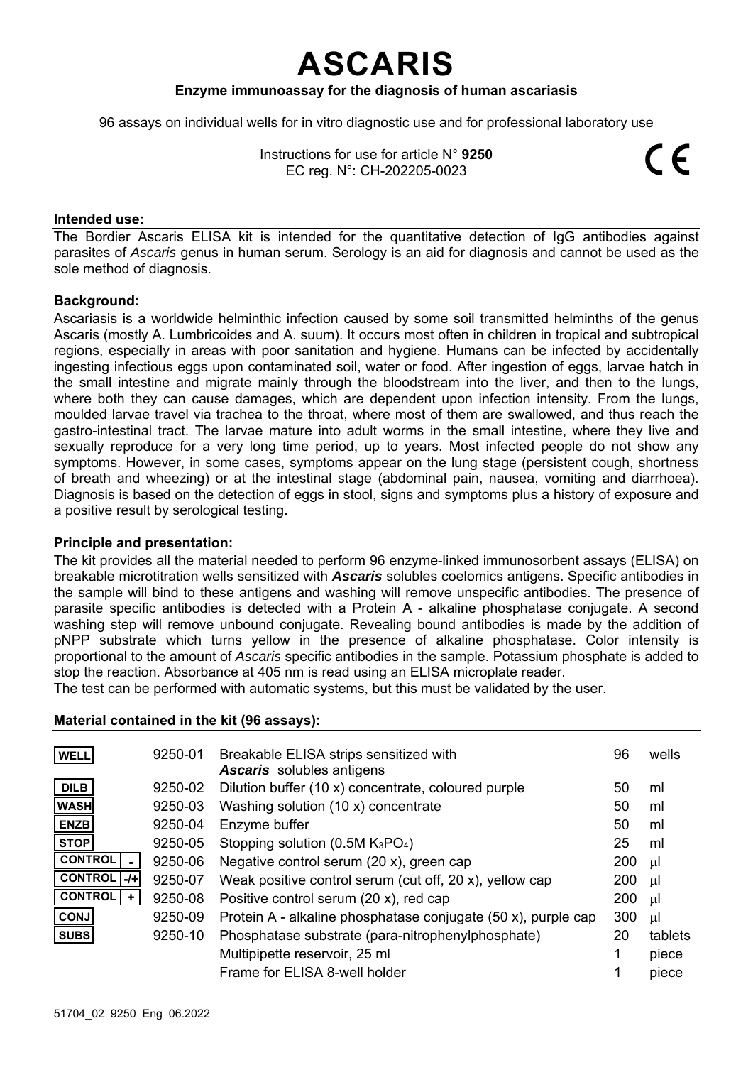# **ASCARIS**

## **Enzyme immunoassay for the diagnosis of human ascariasis**

96 assays on individual wells for in vitro diagnostic use and for professional laboratory use

| Instructions for use for article $N^{\circ}$ 9250 |  |  |  |
|---------------------------------------------------|--|--|--|
| EC reg. N°: CH-202205-0023                        |  |  |  |

#### **Intended use:**

The Bordier Ascaris ELISA kit is intended for the quantitative detection of IgG antibodies against parasites of *Ascaris* genus in human serum. Serology is an aid for diagnosis and cannot be used as the sole method of diagnosis.

#### **Background:**

Ascariasis is a worldwide helminthic infection caused by some soil transmitted helminths of the genus Ascaris (mostly A. Lumbricoides and A. suum). It occurs most often in children in tropical and subtropical regions, especially in areas with poor sanitation and hygiene. Humans can be infected by accidentally ingesting infectious eggs upon contaminated soil, water or food. After ingestion of eggs, larvae hatch in the small intestine and migrate mainly through the bloodstream into the liver, and then to the lungs, where both they can cause damages, which are dependent upon infection intensity. From the lungs, moulded larvae travel via trachea to the throat, where most of them are swallowed, and thus reach the gastro-intestinal tract. The larvae mature into adult worms in the small intestine, where they live and sexually reproduce for a very long time period, up to years. Most infected people do not show any symptoms. However, in some cases, symptoms appear on the lung stage (persistent cough, shortness of breath and wheezing) or at the intestinal stage (abdominal pain, nausea, vomiting and diarrhoea). Diagnosis is based on the detection of eggs in stool, signs and symptoms plus a history of exposure and a positive result by serological testing.

#### **Principle and presentation:**

The kit provides all the material needed to perform 96 enzyme-linked immunosorbent assays (ELISA) on breakable microtitration wells sensitized with *Ascaris* solubles coelomics antigens. Specific antibodies in the sample will bind to these antigens and washing will remove unspecific antibodies. The presence of parasite specific antibodies is detected with a Protein A - alkaline phosphatase conjugate. A second washing step will remove unbound conjugate. Revealing bound antibodies is made by the addition of pNPP substrate which turns yellow in the presence of alkaline phosphatase. Color intensity is proportional to the amount of *Ascaris* specific antibodies in the sample. Potassium phosphate is added to stop the reaction. Absorbance at 405 nm is read using an ELISA microplate reader.

The test can be performed with automatic systems, but this must be validated by the user.

#### **Material contained in the kit (96 assays):**

| <b>WELL</b>           | 9250-01 | Breakable ELISA strips sensitized with                        | 96  | wells   |
|-----------------------|---------|---------------------------------------------------------------|-----|---------|
|                       |         | <b>Ascaris</b> solubles antigens                              |     |         |
| <b>DILB</b>           | 9250-02 | Dilution buffer (10 x) concentrate, coloured purple           | 50  | ml      |
| <b>WASH</b>           | 9250-03 | Washing solution (10 x) concentrate                           | 50  | ml      |
| <b>ENZB</b>           | 9250-04 | Enzyme buffer                                                 | 50  | ml      |
| <b>STOP</b>           | 9250-05 | Stopping solution (0.5M $K_3PO_4$ )                           | 25  | ml      |
| <b>CONTROL</b>        | 9250-06 | Negative control serum (20 x), green cap                      | 200 | μl      |
| <b>CONTROL</b><br>-/+ | 9250-07 | Weak positive control serum (cut off, 20 x), yellow cap       | 200 | μl      |
| <b>CONTROL</b>        | 9250-08 | Positive control serum $(20 x)$ , red cap                     | 200 | μl      |
| <b>CONJ</b>           | 9250-09 | Protein A - alkaline phosphatase conjugate (50 x), purple cap | 300 | μl      |
| <b>SUBS</b>           | 9250-10 | Phosphatase substrate (para-nitrophenylphosphate)             | 20  | tablets |
|                       |         | Multipipette reservoir, 25 ml                                 |     | piece   |
|                       |         | Frame for ELISA 8-well holder                                 |     | piece   |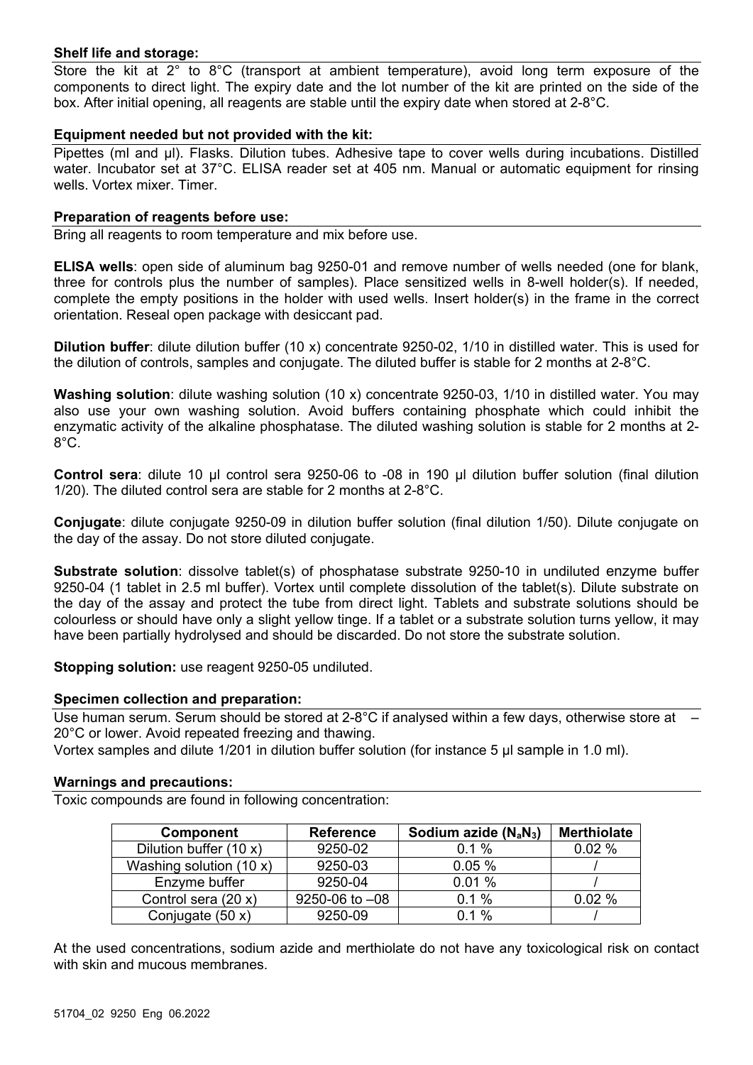# **Shelf life and storage:**

Store the kit at 2° to 8°C (transport at ambient temperature), avoid long term exposure of the components to direct light. The expiry date and the lot number of the kit are printed on the side of the box. After initial opening, all reagents are stable until the expiry date when stored at 2-8°C.

### **Equipment needed but not provided with the kit:**

Pipettes (ml and µl). Flasks. Dilution tubes. Adhesive tape to cover wells during incubations. Distilled water. Incubator set at 37°C. ELISA reader set at 405 nm. Manual or automatic equipment for rinsing wells. Vortex mixer. Timer.

#### **Preparation of reagents before use:**

Bring all reagents to room temperature and mix before use.

**ELISA wells**: open side of aluminum bag 9250-01 and remove number of wells needed (one for blank, three for controls plus the number of samples). Place sensitized wells in 8-well holder(s). If needed, complete the empty positions in the holder with used wells. Insert holder(s) in the frame in the correct orientation. Reseal open package with desiccant pad.

**Dilution buffer**: dilute dilution buffer (10 x) concentrate 9250-02, 1/10 in distilled water. This is used for the dilution of controls, samples and conjugate. The diluted buffer is stable for 2 months at 2-8°C.

**Washing solution**: dilute washing solution (10 x) concentrate 9250-03, 1/10 in distilled water. You may also use your own washing solution. Avoid buffers containing phosphate which could inhibit the enzymatic activity of the alkaline phosphatase. The diluted washing solution is stable for 2 months at 2- 8°C.

**Control sera**: dilute 10 µl control sera 9250-06 to -08 in 190 µl dilution buffer solution (final dilution 1/20). The diluted control sera are stable for 2 months at 2-8°C.

**Conjugate**: dilute conjugate 9250-09 in dilution buffer solution (final dilution 1/50). Dilute conjugate on the day of the assay. Do not store diluted conjugate.

**Substrate solution**: dissolve tablet(s) of phosphatase substrate 9250-10 in undiluted enzyme buffer 9250-04 (1 tablet in 2.5 ml buffer). Vortex until complete dissolution of the tablet(s). Dilute substrate on the day of the assay and protect the tube from direct light. Tablets and substrate solutions should be colourless or should have only a slight yellow tinge. If a tablet or a substrate solution turns yellow, it may have been partially hydrolysed and should be discarded. Do not store the substrate solution.

**Stopping solution:** use reagent 9250-05 undiluted.

#### **Specimen collection and preparation:**

Use human serum. Serum should be stored at 2-8°C if analysed within a few days, otherwise store at  $-$ 20°C or lower. Avoid repeated freezing and thawing.

Vortex samples and dilute 1/201 in dilution buffer solution (for instance 5 µl sample in 1.0 ml).

#### **Warnings and precautions:**

Toxic compounds are found in following concentration:

| <b>Component</b>        | <b>Reference</b> | Sodium azide $(N_aN_3)$ | <b>Merthiolate</b> |
|-------------------------|------------------|-------------------------|--------------------|
| Dilution buffer (10 x)  | 9250-02          | 0.1%                    | 0.02%              |
| Washing solution (10 x) | 9250-03          | 0.05%                   |                    |
| Enzyme buffer           | 9250-04          | 0.01%                   |                    |
| Control sera (20 x)     | 9250-06 to -08   | 0.1%                    | 0.02%              |
| Conjugate (50 x)        | 9250-09          | 0.1%                    |                    |

At the used concentrations, sodium azide and merthiolate do not have any toxicological risk on contact with skin and mucous membranes.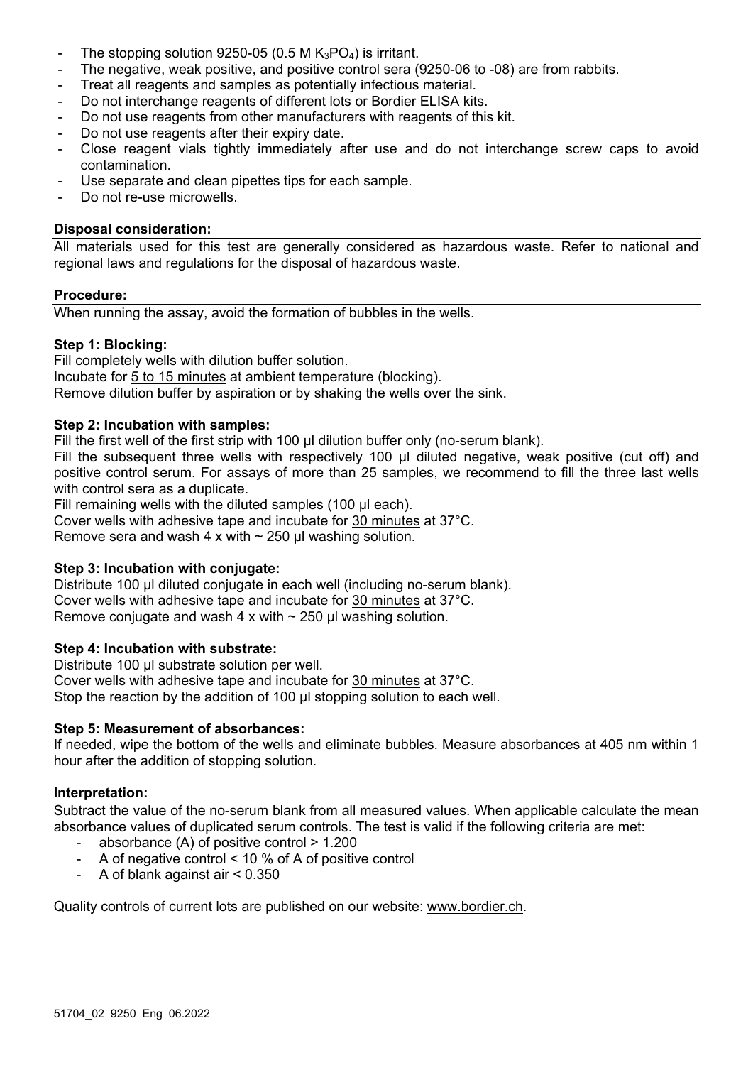- The stopping solution 9250-05 (0.5 M  $K_3PO_4$ ) is irritant.
- The negative, weak positive, and positive control sera (9250-06 to -08) are from rabbits.
- Treat all reagents and samples as potentially infectious material.
- Do not interchange reagents of different lots or Bordier ELISA kits.
- Do not use reagents from other manufacturers with reagents of this kit.
- Do not use reagents after their expiry date.
- Close reagent vials tightly immediately after use and do not interchange screw caps to avoid contamination.
- Use separate and clean pipettes tips for each sample.
- Do not re-use microwells.

## **Disposal consideration:**

All materials used for this test are generally considered as hazardous waste. Refer to national and regional laws and regulations for the disposal of hazardous waste.

## **Procedure:**

When running the assay, avoid the formation of bubbles in the wells.

# **Step 1: Blocking:**

Fill completely wells with dilution buffer solution. Incubate for 5 to 15 minutes at ambient temperature (blocking). Remove dilution buffer by aspiration or by shaking the wells over the sink.

# **Step 2: Incubation with samples:**

Fill the first well of the first strip with 100 µl dilution buffer only (no-serum blank).

Fill the subsequent three wells with respectively 100 µl diluted negative, weak positive (cut off) and positive control serum. For assays of more than 25 samples, we recommend to fill the three last wells with control sera as a duplicate.

Fill remaining wells with the diluted samples (100 µl each).

Cover wells with adhesive tape and incubate for 30 minutes at 37°C.

Remove sera and wash 4 x with  $\sim$  250 µl washing solution.

# **Step 3: Incubation with conjugate:**

Distribute 100 µl diluted conjugate in each well (including no-serum blank). Cover wells with adhesive tape and incubate for 30 minutes at 37°C. Remove conjugate and wash 4 x with  $\sim$  250 µl washing solution.

# **Step 4: Incubation with substrate:**

Distribute 100 µl substrate solution per well. Cover wells with adhesive tape and incubate for 30 minutes at 37°C. Stop the reaction by the addition of 100 µl stopping solution to each well.

# **Step 5: Measurement of absorbances:**

If needed, wipe the bottom of the wells and eliminate bubbles. Measure absorbances at 405 nm within 1 hour after the addition of stopping solution.

#### **Interpretation:**

Subtract the value of the no-serum blank from all measured values. When applicable calculate the mean absorbance values of duplicated serum controls. The test is valid if the following criteria are met:

- absorbance (A) of positive control > 1.200
- A of negative control < 10 % of A of positive control
- A of blank against air < 0.350

Quality controls of current lots are published on our website: www.bordier.ch.